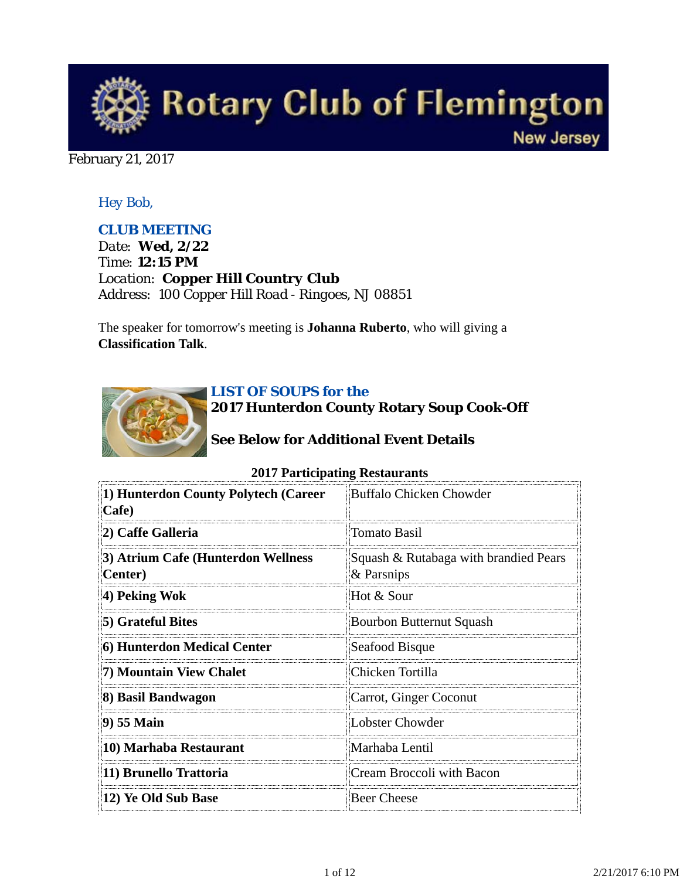

#### February 21, 2017

## *Hey Bob,*

## *CLUB MEETING*

*Date: Wed, 2/22 Time: 12:15 PM Location: Copper Hill Country Club Address: 100 Copper Hill Road - Ringoes, NJ 08851*

The speaker for tomorrow's meeting is **Johanna Ruberto**, who will giving a **Classification Talk**.



#### *LIST OF SOUPS for the*

**2017 Hunterdon County Rotary Soup Cook-Off**

## **See Below for Additional Event Details**

| 1) Hunterdon County Polytech (Career<br>Cafe)         | <b>Buffalo Chicken Chowder</b>                      |  |
|-------------------------------------------------------|-----------------------------------------------------|--|
| 2) Caffe Galleria                                     | Tomato Basil                                        |  |
| 3) Atrium Cafe (Hunterdon Wellness<br><b>Center</b> ) | Squash & Rutabaga with brandied Pears<br>& Parsnips |  |
| 4) Peking Wok                                         | Hot & Sour                                          |  |
| 5) Grateful Bites                                     | Bourbon Butternut Squash                            |  |
| 6) Hunterdon Medical Center                           | Seafood Bisque                                      |  |
| 7) Mountain View Chalet                               | Chicken Tortilla                                    |  |
| 8) Basil Bandwagon                                    | Carrot, Ginger Coconut                              |  |
| 9) 55 Main                                            | Lobster Chowder                                     |  |
| 10) Marhaba Restaurant                                | Marhaba Lentil                                      |  |
| 11) Brunello Trattoria                                | Cream Broccoli with Bacon                           |  |
| 12) Ye Old Sub Base                                   | <b>Beer Cheese</b>                                  |  |

#### **2017 Participating Restaurants**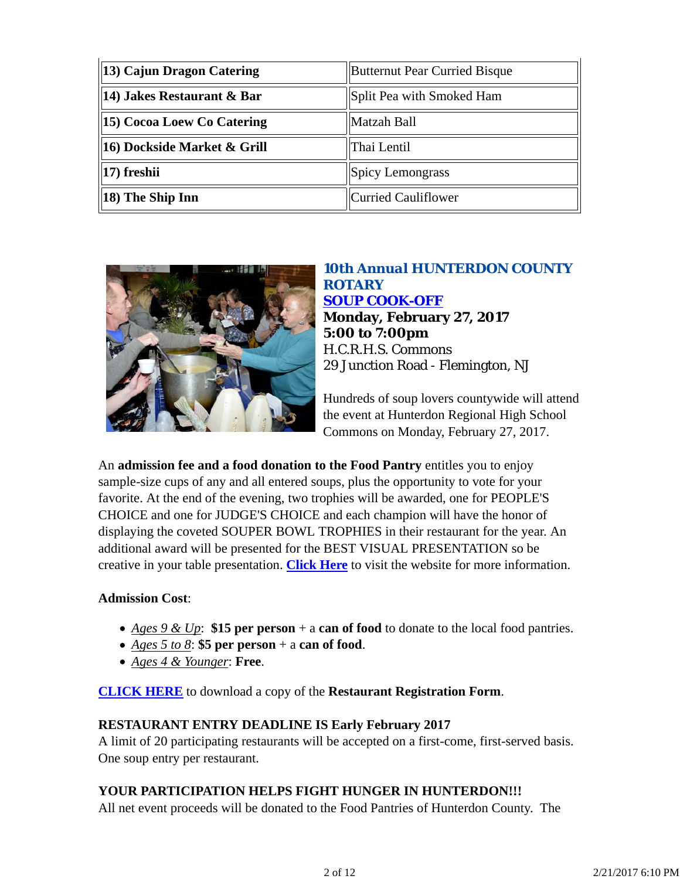| 13) Cajun Dragon Catering                                          | <b>Butternut Pear Curried Bisque</b> |  |
|--------------------------------------------------------------------|--------------------------------------|--|
| $\parallel$ 14) Jakes Restaurant & Bar                             | Split Pea with Smoked Ham            |  |
| 15) Cocoa Loew Co Catering                                         | Matzah Ball                          |  |
| $\left\ 16\right)$ Dockside Market & Grill                         | Thai Lentil                          |  |
| $\left\vert \left\vert \mathbf{17}\right\rangle \mathbf{f}$ reshii | Spicy Lemongrass                     |  |
| $\left\ 18\right\rangle$ The Ship Inn                              | Curried Cauliflower                  |  |



## *10th Annual HUNTERDON COUNTY ROTARY SOUP COOK-OFF* **Monday, February 27, 2017 5:00 to 7:00pm** H.C.R.H.S. Commons 29 Junction Road - Flemington, NJ

Hundreds of soup lovers countywide will attend the event at Hunterdon Regional High School Commons on Monday, February 27, 2017.

An **admission fee and a food donation to the Food Pantry** entitles you to enjoy sample-size cups of any and all entered soups, plus the opportunity to vote for your favorite. At the end of the evening, two trophies will be awarded, one for PEOPLE'S CHOICE and one for JUDGE'S CHOICE and each champion will have the honor of displaying the coveted SOUPER BOWL TROPHIES in their restaurant for the year. An additional award will be presented for the BEST VISUAL PRESENTATION so be creative in your table presentation. **Click Here** to visit the website for more information.

## **Admission Cost**:

- *Ages 9 & Up*: **\$15 per person** + a **can of food** to donate to the local food pantries.
- *Ages 5 to 8*: **\$5 per person** + a **can of food**.
- *Ages 4 & Younger*: **Free**.

**CLICK HERE** to download a copy of the **Restaurant Registration Form**.

### **RESTAURANT ENTRY DEADLINE IS Early February 2017**

A limit of 20 participating restaurants will be accepted on a first-come, first-served basis. One soup entry per restaurant.

## **YOUR PARTICIPATION HELPS FIGHT HUNGER IN HUNTERDON!!!**

All net event proceeds will be donated to the Food Pantries of Hunterdon County. The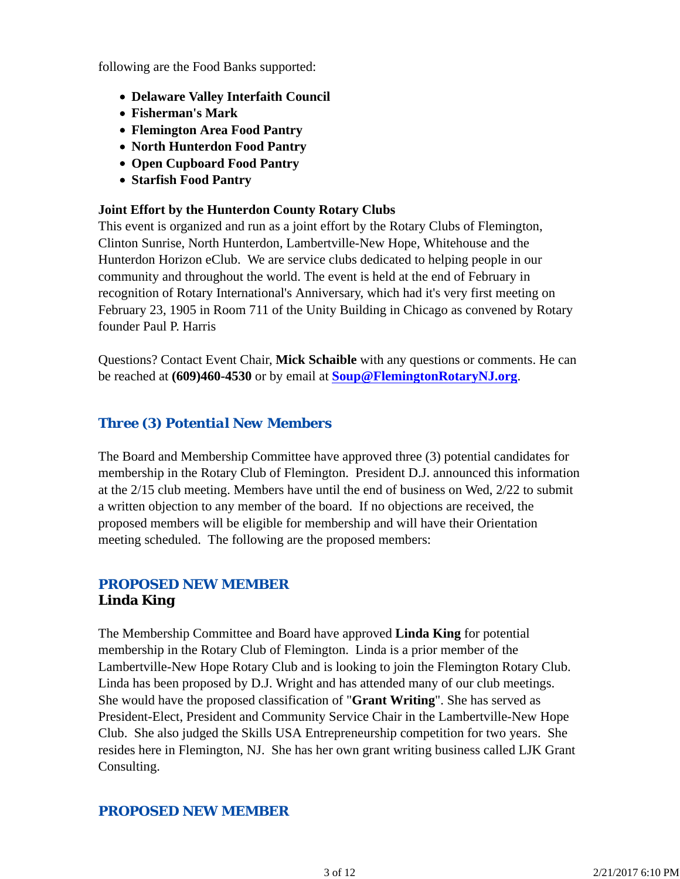following are the Food Banks supported:

- **Delaware Valley Interfaith Council**
- **Fisherman's Mark**
- **Flemington Area Food Pantry**
- **North Hunterdon Food Pantry**
- **Open Cupboard Food Pantry**
- **Starfish Food Pantry**

### **Joint Effort by the Hunterdon County Rotary Clubs**

This event is organized and run as a joint effort by the Rotary Clubs of Flemington, Clinton Sunrise, North Hunterdon, Lambertville-New Hope, Whitehouse and the Hunterdon Horizon eClub. We are service clubs dedicated to helping people in our community and throughout the world. The event is held at the end of February in recognition of Rotary International's Anniversary, which had it's very first meeting on February 23, 1905 in Room 711 of the Unity Building in Chicago as convened by Rotary founder Paul P. Harris

Questions? Contact Event Chair, **Mick Schaible** with any questions or comments. He can be reached at **(609)460-4530** or by email at **Soup@FlemingtonRotaryNJ.org**.

## *Three (3) Potential New Members*

The Board and Membership Committee have approved three (3) potential candidates for membership in the Rotary Club of Flemington. President D.J. announced this information at the 2/15 club meeting. Members have until the end of business on Wed, 2/22 to submit a written objection to any member of the board. If no objections are received, the proposed members will be eligible for membership and will have their Orientation meeting scheduled. The following are the proposed members:

## *PROPOSED NEW MEMBER* **Linda King**

The Membership Committee and Board have approved **Linda King** for potential membership in the Rotary Club of Flemington. Linda is a prior member of the Lambertville-New Hope Rotary Club and is looking to join the Flemington Rotary Club. Linda has been proposed by D.J. Wright and has attended many of our club meetings. She would have the proposed classification of "**Grant Writing**". She has served as President-Elect, President and Community Service Chair in the Lambertville-New Hope Club. She also judged the Skills USA Entrepreneurship competition for two years. She resides here in Flemington, NJ. She has her own grant writing business called LJK Grant Consulting.

## *PROPOSED NEW MEMBER*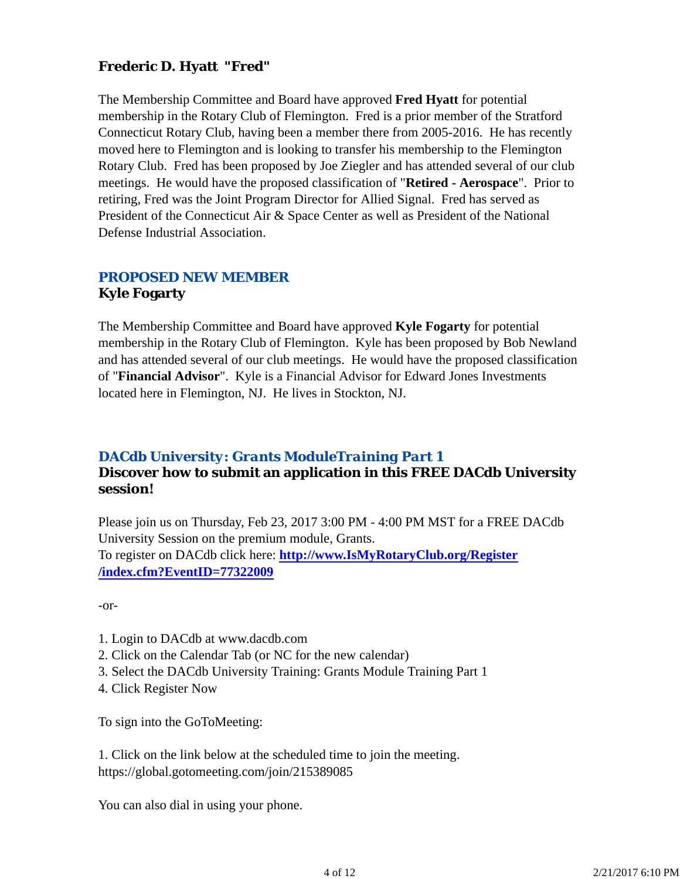## **Frederic D. Hyatt "Fred"**

The Membership Committee and Board have approved **Fred Hyatt** for potential membership in the Rotary Club of Flemington. Fred is a prior member of the Stratford Connecticut Rotary Club, having been a member there from 2005-2016. He has recently moved here to Flemington and is looking to transfer his membership to the Flemington Rotary Club. Fred has been proposed by Joe Ziegler and has attended several of our club meetings. He would have the proposed classification of "**Retired - Aerospace**". Prior to retiring, Fred was the Joint Program Director for Allied Signal. Fred has served as President of the Connecticut Air & Space Center as well as President of the National Defense Industrial Association.

## *PROPOSED NEW MEMBER* **Kyle Fogarty**

The Membership Committee and Board have approved **Kyle Fogarty** for potential membership in the Rotary Club of Flemington. Kyle has been proposed by Bob Newland and has attended several of our club meetings. He would have the proposed classification of "**Financial Advisor**". Kyle is a Financial Advisor for Edward Jones Investments located here in Flemington, NJ. He lives in Stockton, NJ.

## *DACdb University: Grants ModuleTraining Part 1*

## **Discover how to submit an application in this FREE DACdb University session!**

Please join us on Thursday, Feb 23, 2017 3:00 PM - 4:00 PM MST for a FREE DACdb University Session on the premium module, Grants. To register on DACdb click here: **http://www.IsMyRotaryClub.org/Register /index.cfm?EventID=77322009**

-or-

- 1. Login to DACdb at www.dacdb.com
- 2. Click on the Calendar Tab (or NC for the new calendar)
- 3. Select the DACdb University Training: Grants Module Training Part 1
- 4. Click Register Now

To sign into the GoToMeeting:

1. Click on the link below at the scheduled time to join the meeting. https://global.gotomeeting.com/join/215389085

You can also dial in using your phone.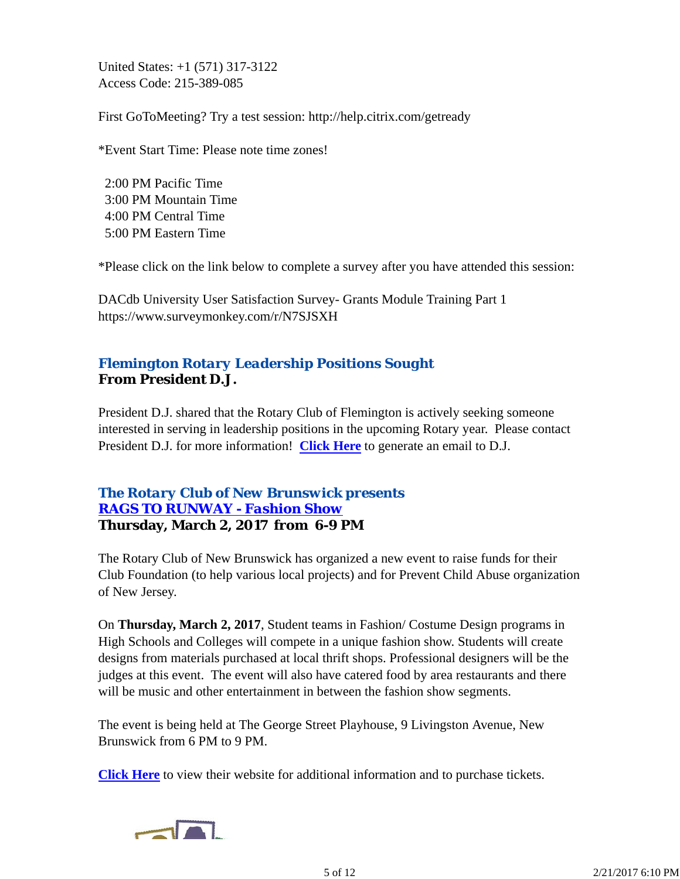United States: +1 (571) 317-3122 Access Code: 215-389-085

First GoToMeeting? Try a test session: http://help.citrix.com/getready

\*Event Start Time: Please note time zones!

 2:00 PM Pacific Time 3:00 PM Mountain Time 4:00 PM Central Time 5:00 PM Eastern Time

\*Please click on the link below to complete a survey after you have attended this session:

DACdb University User Satisfaction Survey- Grants Module Training Part 1 https://www.surveymonkey.com/r/N7SJSXH

## *Flemington Rotary Leadership Positions Sought* **From President D.J.**

President D.J. shared that the Rotary Club of Flemington is actively seeking someone interested in serving in leadership positions in the upcoming Rotary year. Please contact President D.J. for more information! **Click Here** to generate an email to D.J.

## *The Rotary Club of New Brunswick presents RAGS TO RUNWAY - Fashion Show* **Thursday, March 2, 2017 from 6-9 PM**

The Rotary Club of New Brunswick has organized a new event to raise funds for their Club Foundation (to help various local projects) and for Prevent Child Abuse organization of New Jersey.

On **Thursday, March 2, 2017**, Student teams in Fashion/ Costume Design programs in High Schools and Colleges will compete in a unique fashion show. Students will create designs from materials purchased at local thrift shops. Professional designers will be the judges at this event. The event will also have catered food by area restaurants and there will be music and other entertainment in between the fashion show segments.

The event is being held at The George Street Playhouse, 9 Livingston Avenue, New Brunswick from 6 PM to 9 PM.

**Click Here** to view their website for additional information and to purchase tickets.

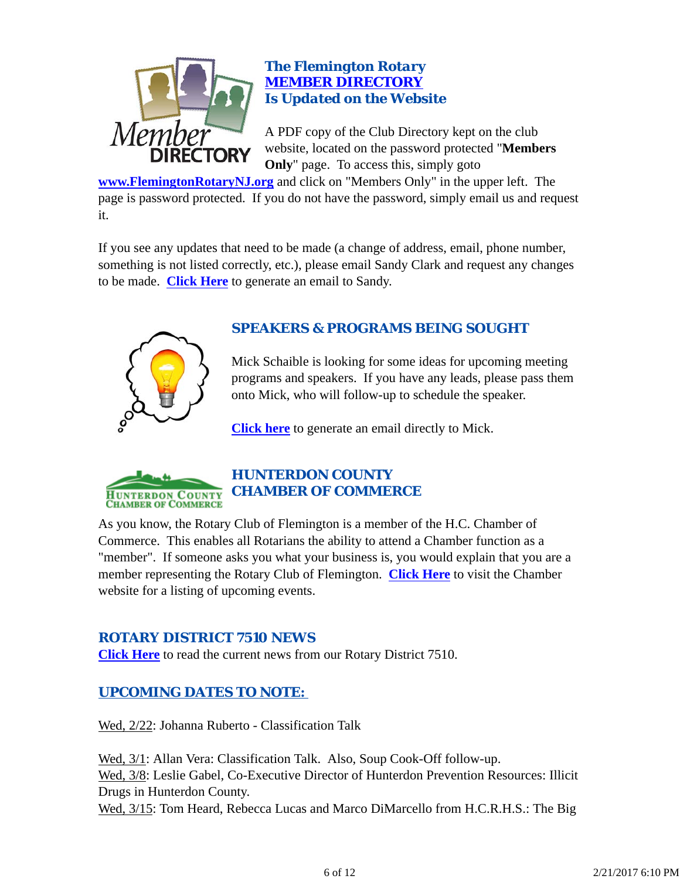

## *The Flemington Rotary MEMBER DIRECTORY Is Updated on the Website*

A PDF copy of the Club Directory kept on the club website, located on the password protected "**Members Only**" page. To access this, simply goto

**www.FlemingtonRotaryNJ.org** and click on "Members Only" in the upper left. The page is password protected. If you do not have the password, simply email us and request it.

If you see any updates that need to be made (a change of address, email, phone number, something is not listed correctly, etc.), please email Sandy Clark and request any changes to be made. **Click Here** to generate an email to Sandy.



## *SPEAKERS & PROGRAMS BEING SOUGHT*

Mick Schaible is looking for some ideas for upcoming meeting programs and speakers. If you have any leads, please pass them onto Mick, who will follow-up to schedule the speaker.

**Click here** to generate an email directly to Mick.



## *HUNTERDON COUNTY CHAMBER OF COMMERCE*

As you know, the Rotary Club of Flemington is a member of the H.C. Chamber of Commerce. This enables all Rotarians the ability to attend a Chamber function as a "member". If someone asks you what your business is, you would explain that you are a member representing the Rotary Club of Flemington. **Click Here** to visit the Chamber website for a listing of upcoming events.

## *ROTARY DISTRICT 7510 NEWS*

**Click Here** to read the current news from our Rotary District 7510.

## *UPCOMING DATES TO NOTE:*

Wed, 2/22: Johanna Ruberto - Classification Talk

Wed, 3/1: Allan Vera: Classification Talk. Also, Soup Cook-Off follow-up. Wed, 3/8: Leslie Gabel, Co-Executive Director of Hunterdon Prevention Resources: Illicit Drugs in Hunterdon County. Wed, 3/15: Tom Heard, Rebecca Lucas and Marco DiMarcello from H.C.R.H.S.: The Big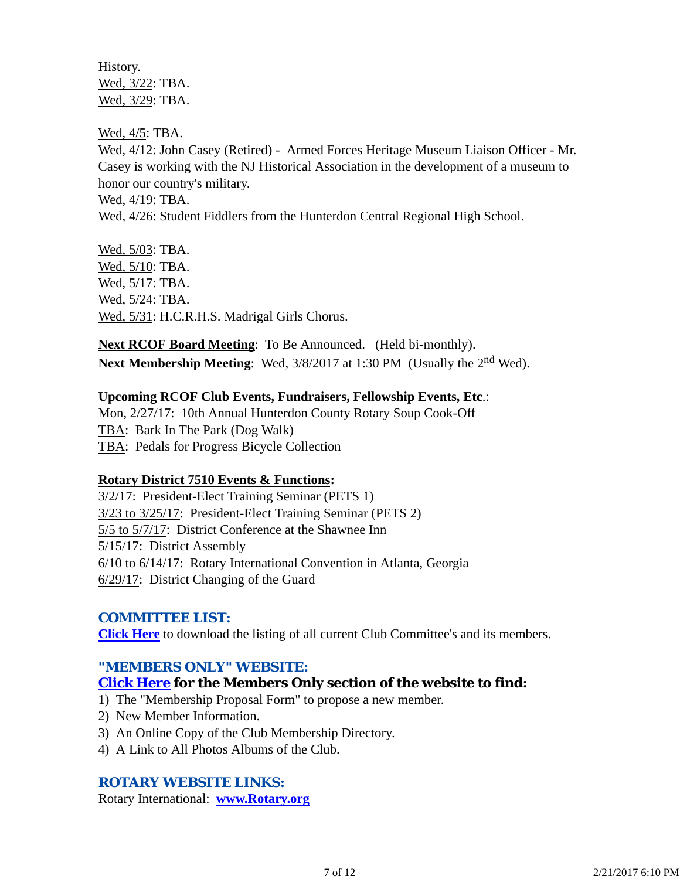History. Wed, 3/22: TBA. Wed, 3/29: TBA.

Wed, 4/5: TBA.

Wed, 4/12: John Casey (Retired) - Armed Forces Heritage Museum Liaison Officer - Mr. Casey is working with the NJ Historical Association in the development of a museum to honor our country's military.

Wed, 4/19: TBA.

Wed, 4/26: Student Fiddlers from the Hunterdon Central Regional High School.

Wed, 5/03: TBA. Wed, 5/10: TBA. Wed, 5/17: TBA. Wed, 5/24: TBA. Wed, 5/31: H.C.R.H.S. Madrigal Girls Chorus.

**Next RCOF Board Meeting**: To Be Announced. (Held bi-monthly). **Next Membership Meeting**: Wed, 3/8/2017 at 1:30 PM (Usually the 2nd Wed).

#### **Upcoming RCOF Club Events, Fundraisers, Fellowship Events, Etc**.:

Mon, 2/27/17: 10th Annual Hunterdon County Rotary Soup Cook-Off TBA: Bark In The Park (Dog Walk) TBA: Pedals for Progress Bicycle Collection

### **Rotary District 7510 Events & Functions:**

3/2/17: President-Elect Training Seminar (PETS 1) 3/23 to 3/25/17: President-Elect Training Seminar (PETS 2) 5/5 to 5/7/17: District Conference at the Shawnee Inn 5/15/17: District Assembly 6/10 to 6/14/17: Rotary International Convention in Atlanta, Georgia 6/29/17: District Changing of the Guard

### *COMMITTEE LIST:*

**Click Here** to download the listing of all current Club Committee's and its members.

### *"MEMBERS ONLY" WEBSITE:*

### **Click Here for the Members Only section of the website to find:**

1) The "Membership Proposal Form" to propose a new member.

- 2) New Member Information.
- 3) An Online Copy of the Club Membership Directory.
- 4) A Link to All Photos Albums of the Club.

### *ROTARY WEBSITE LINKS:*

Rotary International: **www.Rotary.org**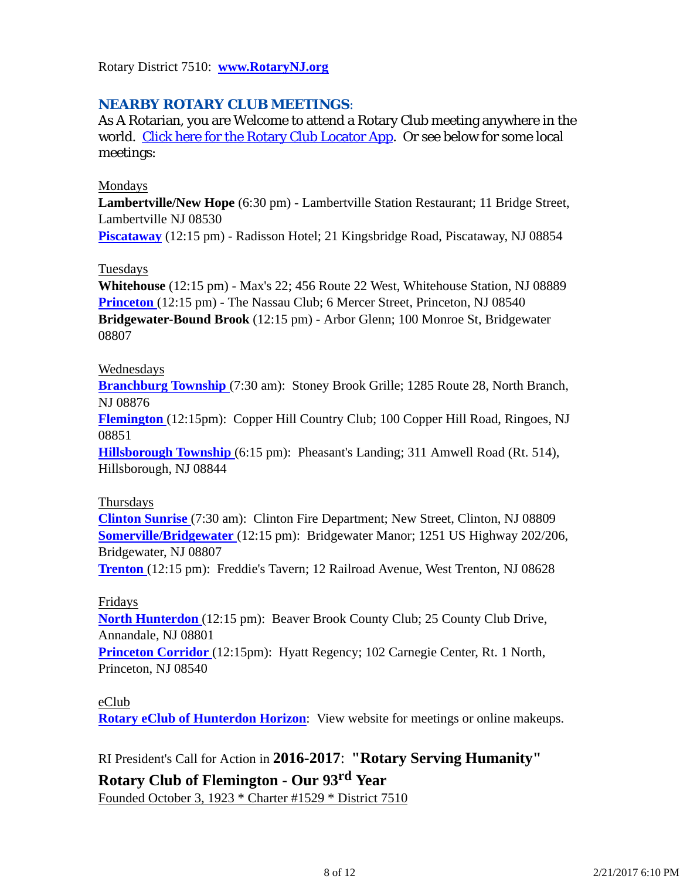Rotary District 7510: **www.RotaryNJ.org**

## *NEARBY ROTARY CLUB MEETINGS:*

As A Rotarian, you are Welcome to attend a Rotary Club meeting anywhere in the world. Click here for the Rotary Club Locator App. Or see below for some local meetings:

#### Mondays

**Lambertville/New Hope** (6:30 pm) - Lambertville Station Restaurant; 11 Bridge Street, Lambertville NJ 08530

**Piscataway** (12:15 pm) - Radisson Hotel; 21 Kingsbridge Road, Piscataway, NJ 08854

### Tuesdays

**Whitehouse** (12:15 pm) - Max's 22; 456 Route 22 West, Whitehouse Station, NJ 08889 **Princeton** (12:15 pm) - The Nassau Club; 6 Mercer Street, Princeton, NJ 08540 **Bridgewater-Bound Brook** (12:15 pm) - Arbor Glenn; 100 Monroe St, Bridgewater 08807

#### Wednesdays

**Branchburg Township** (7:30 am): Stoney Brook Grille; 1285 Route 28, North Branch, NJ 08876

**Flemington** (12:15pm): Copper Hill Country Club; 100 Copper Hill Road, Ringoes, NJ 08851

**Hillsborough Township** (6:15 pm): Pheasant's Landing; 311 Amwell Road (Rt. 514), Hillsborough, NJ 08844

#### Thursdays

**Clinton Sunrise** (7:30 am): Clinton Fire Department; New Street, Clinton, NJ 08809 **Somerville/Bridgewater** (12:15 pm): Bridgewater Manor; 1251 US Highway 202/206, Bridgewater, NJ 08807

**Trenton** (12:15 pm): Freddie's Tavern; 12 Railroad Avenue, West Trenton, NJ 08628

### Fridays

**North Hunterdon** (12:15 pm): Beaver Brook County Club; 25 County Club Drive, Annandale, NJ 08801

**Princeton Corridor** (12:15pm): Hyatt Regency; 102 Carnegie Center, Rt. 1 North, Princeton, NJ 08540

### eClub

**Rotary eClub of Hunterdon Horizon**: View website for meetings or online makeups.

## RI President's Call for Action in **2016-2017**: **"Rotary Serving Humanity"**

## **Rotary Club of Flemington - Our 93rd Year**

Founded October 3, 1923 \* Charter #1529 \* District 7510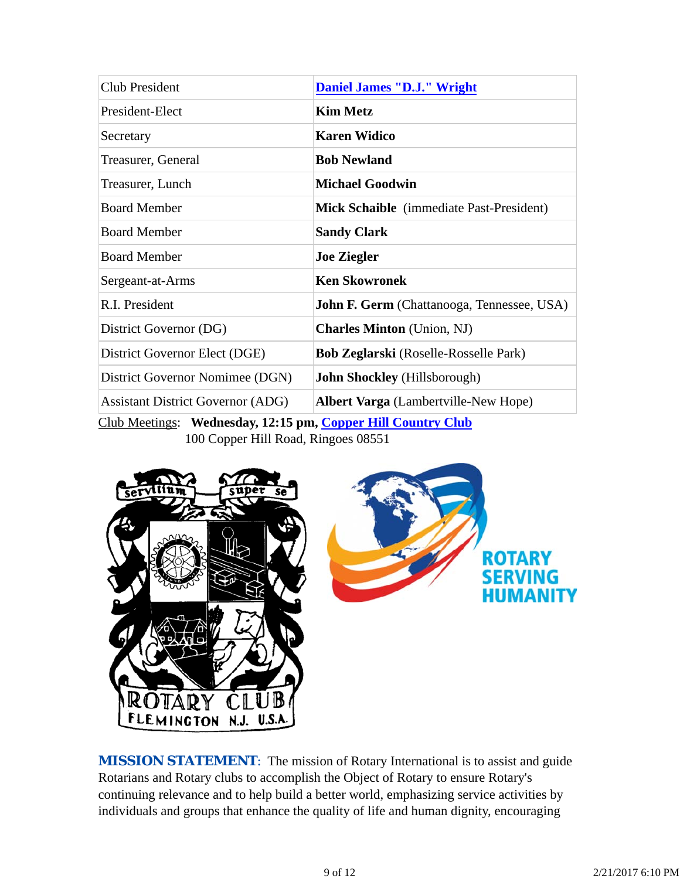| Club President                                             | <b>Daniel James "D.J." Wright</b>                 |  |  |
|------------------------------------------------------------|---------------------------------------------------|--|--|
| President-Elect                                            | <b>Kim Metz</b>                                   |  |  |
| Secretary                                                  | <b>Karen Widico</b>                               |  |  |
| Treasurer, General                                         | <b>Bob Newland</b>                                |  |  |
| Treasurer, Lunch                                           | <b>Michael Goodwin</b>                            |  |  |
| <b>Board Member</b>                                        | Mick Schaible (immediate Past-President)          |  |  |
| <b>Board Member</b>                                        | <b>Sandy Clark</b>                                |  |  |
| <b>Board Member</b>                                        | <b>Joe Ziegler</b>                                |  |  |
| Sergeant-at-Arms                                           | <b>Ken Skowronek</b>                              |  |  |
| R.I. President                                             | <b>John F. Germ</b> (Chattanooga, Tennessee, USA) |  |  |
| District Governor (DG)                                     | <b>Charles Minton</b> (Union, NJ)                 |  |  |
| District Governor Elect (DGE)                              | <b>Bob Zeglarski</b> (Roselle-Rosselle Park)      |  |  |
| District Governor Nomimee (DGN)                            | <b>John Shockley</b> (Hillsborough)               |  |  |
| <b>Assistant District Governor (ADG)</b>                   | <b>Albert Varga</b> (Lambertville-New Hope)       |  |  |
| Club Meetings: Wednesday 12:15 nm Conner Hill Country Club |                                                   |  |  |

Club Meetings: **Wednesday, 12:15 pm, Copper Hill Country Club** 100 Copper Hill Road, Ringoes 08551



*MISSION STATEMENT*: The mission of Rotary International is to assist and guide Rotarians and Rotary clubs to accomplish the Object of Rotary to ensure Rotary's continuing relevance and to help build a better world, emphasizing service activities by individuals and groups that enhance the quality of life and human dignity, encouraging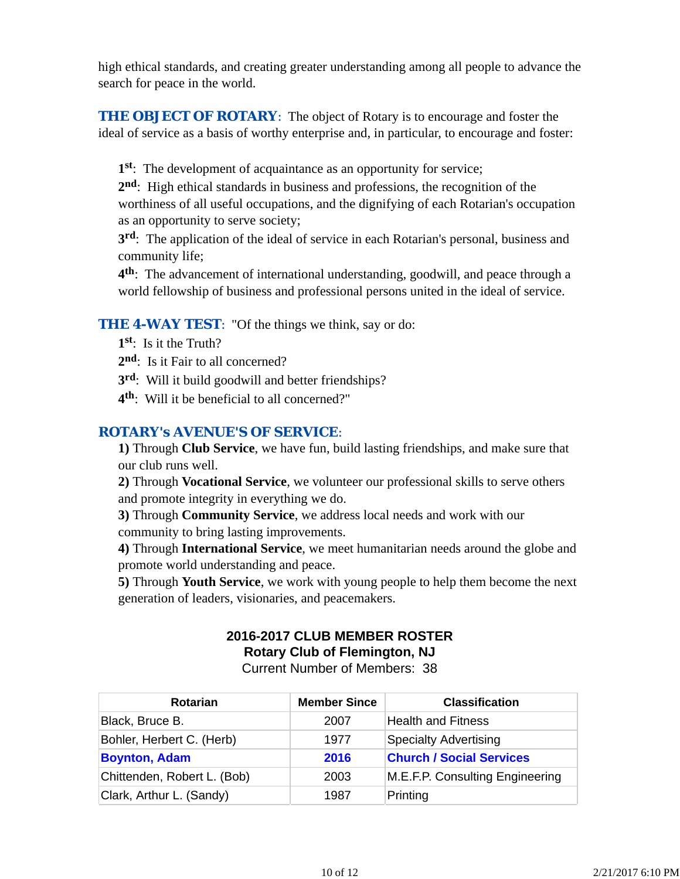high ethical standards, and creating greater understanding among all people to advance the search for peace in the world.

**THE OBJECT OF ROTARY:** The object of Rotary is to encourage and foster the ideal of service as a basis of worthy enterprise and, in particular, to encourage and foster:

**1st**: The development of acquaintance as an opportunity for service;

**2nd**: High ethical standards in business and professions, the recognition of the worthiness of all useful occupations, and the dignifying of each Rotarian's occupation as an opportunity to serve society;

**3rd**: The application of the ideal of service in each Rotarian's personal, business and community life;

**4th**: The advancement of international understanding, goodwill, and peace through a world fellowship of business and professional persons united in the ideal of service.

## **THE 4-WAY TEST:** "Of the things we think, say or do:

- **1st**: Is it the Truth?
- 2<sup>nd</sup>: Is it Fair to all concerned?
- **3rd**: Will it build goodwill and better friendships?
- **4th**: Will it be beneficial to all concerned?"

### *ROTARY's AVENUE'S OF SERVICE*:

**1)** Through **Club Service**, we have fun, build lasting friendships, and make sure that our club runs well.

**2)** Through **Vocational Service**, we volunteer our professional skills to serve others and promote integrity in everything we do.

**3)** Through **Community Service**, we address local needs and work with our community to bring lasting improvements.

**4)** Through **International Service**, we meet humanitarian needs around the globe and promote world understanding and peace.

**5)** Through **Youth Service**, we work with young people to help them become the next generation of leaders, visionaries, and peacemakers.

# **2016-2017 CLUB MEMBER ROSTER Rotary Club of Flemington, NJ**

Current Number of Members: 38

| <b>Rotarian</b>             | <b>Member Since</b> | <b>Classification</b>           |
|-----------------------------|---------------------|---------------------------------|
| Black, Bruce B.             | 2007                | <b>Health and Fitness</b>       |
| Bohler, Herbert C. (Herb)   | 1977                | <b>Specialty Advertising</b>    |
| <b>Boynton, Adam</b>        | 2016                | <b>Church / Social Services</b> |
| Chittenden, Robert L. (Bob) | 2003                | M.E.F.P. Consulting Engineering |
| Clark, Arthur L. (Sandy)    | 1987                | Printing                        |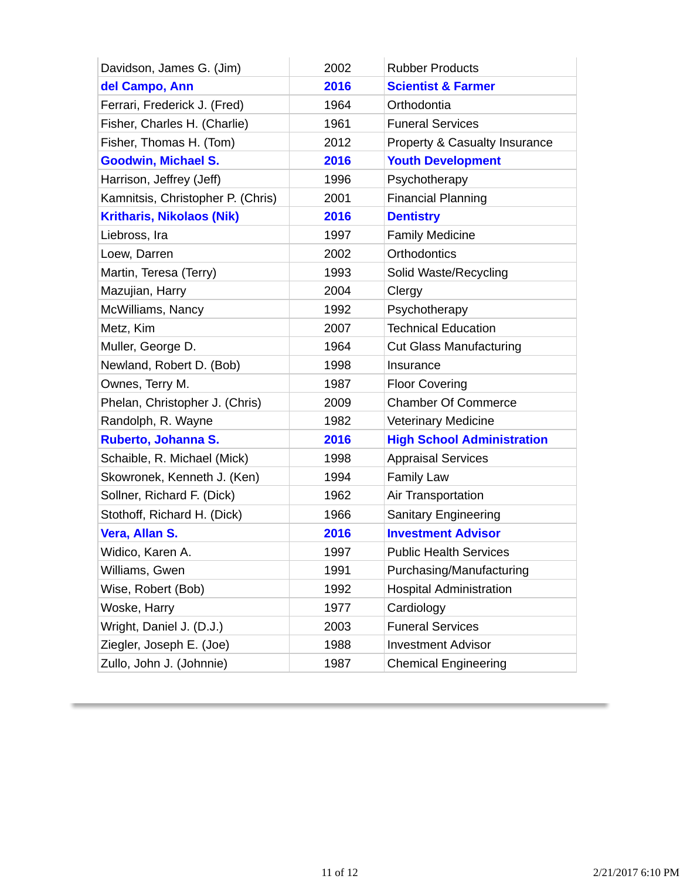| Davidson, James G. (Jim)          | 2002 | <b>Rubber Products</b>                   |
|-----------------------------------|------|------------------------------------------|
| del Campo, Ann                    | 2016 | <b>Scientist &amp; Farmer</b>            |
| Ferrari, Frederick J. (Fred)      | 1964 | Orthodontia                              |
| Fisher, Charles H. (Charlie)      | 1961 | <b>Funeral Services</b>                  |
| Fisher, Thomas H. (Tom)           | 2012 | <b>Property &amp; Casualty Insurance</b> |
| <b>Goodwin, Michael S.</b>        | 2016 | <b>Youth Development</b>                 |
| Harrison, Jeffrey (Jeff)          | 1996 | Psychotherapy                            |
| Kamnitsis, Christopher P. (Chris) | 2001 | <b>Financial Planning</b>                |
| <b>Kritharis, Nikolaos (Nik)</b>  | 2016 | <b>Dentistry</b>                         |
| Liebross, Ira                     | 1997 | <b>Family Medicine</b>                   |
| Loew, Darren                      | 2002 | <b>Orthodontics</b>                      |
| Martin, Teresa (Terry)            | 1993 | Solid Waste/Recycling                    |
| Mazujian, Harry                   | 2004 | Clergy                                   |
| McWilliams, Nancy                 | 1992 | Psychotherapy                            |
| Metz, Kim                         | 2007 | <b>Technical Education</b>               |
| Muller, George D.                 | 1964 | <b>Cut Glass Manufacturing</b>           |
| Newland, Robert D. (Bob)          | 1998 | Insurance                                |
| Ownes, Terry M.                   | 1987 | <b>Floor Covering</b>                    |
| Phelan, Christopher J. (Chris)    | 2009 | <b>Chamber Of Commerce</b>               |
| Randolph, R. Wayne                | 1982 | <b>Veterinary Medicine</b>               |
| Ruberto, Johanna S.               | 2016 | <b>High School Administration</b>        |
| Schaible, R. Michael (Mick)       | 1998 | <b>Appraisal Services</b>                |
| Skowronek, Kenneth J. (Ken)       | 1994 | <b>Family Law</b>                        |
| Sollner, Richard F. (Dick)        | 1962 | Air Transportation                       |
| Stothoff, Richard H. (Dick)       | 1966 | <b>Sanitary Engineering</b>              |
| Vera, Allan S.                    | 2016 | <b>Investment Advisor</b>                |
| Widico, Karen A.                  | 1997 | <b>Public Health Services</b>            |
| Williams, Gwen                    | 1991 | Purchasing/Manufacturing                 |
| Wise, Robert (Bob)                | 1992 | <b>Hospital Administration</b>           |
| Woske, Harry                      | 1977 | Cardiology                               |
| Wright, Daniel J. (D.J.)          | 2003 | <b>Funeral Services</b>                  |
| Ziegler, Joseph E. (Joe)          | 1988 | <b>Investment Advisor</b>                |
| Zullo, John J. (Johnnie)          | 1987 | <b>Chemical Engineering</b>              |